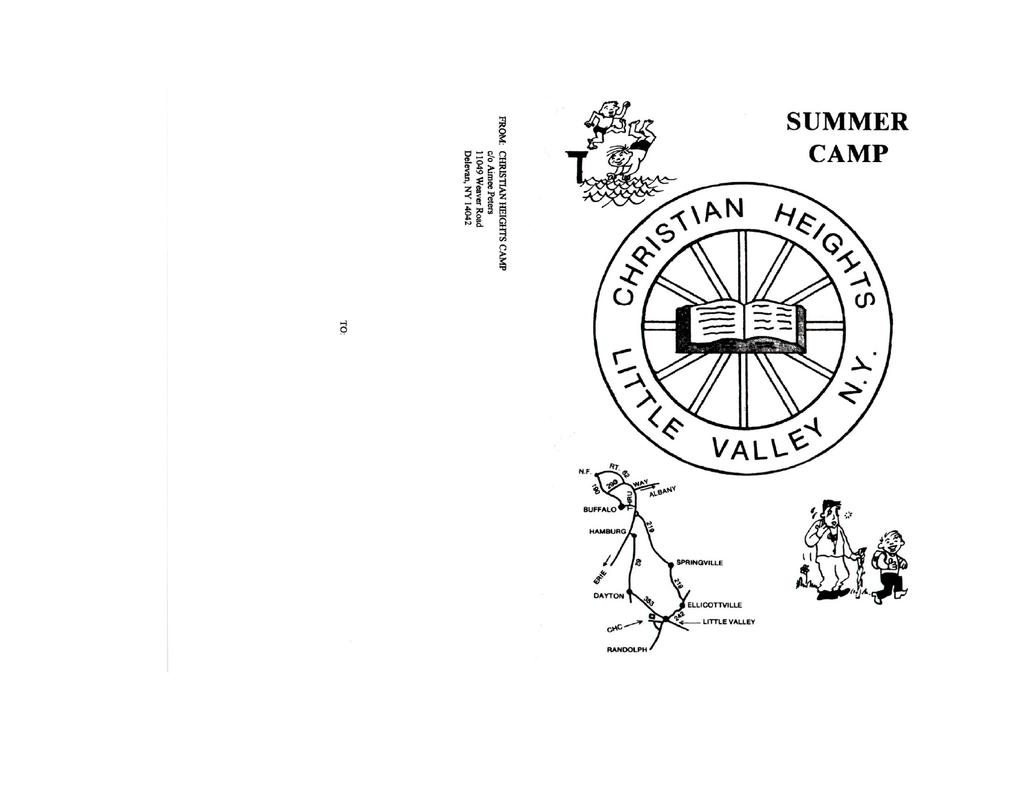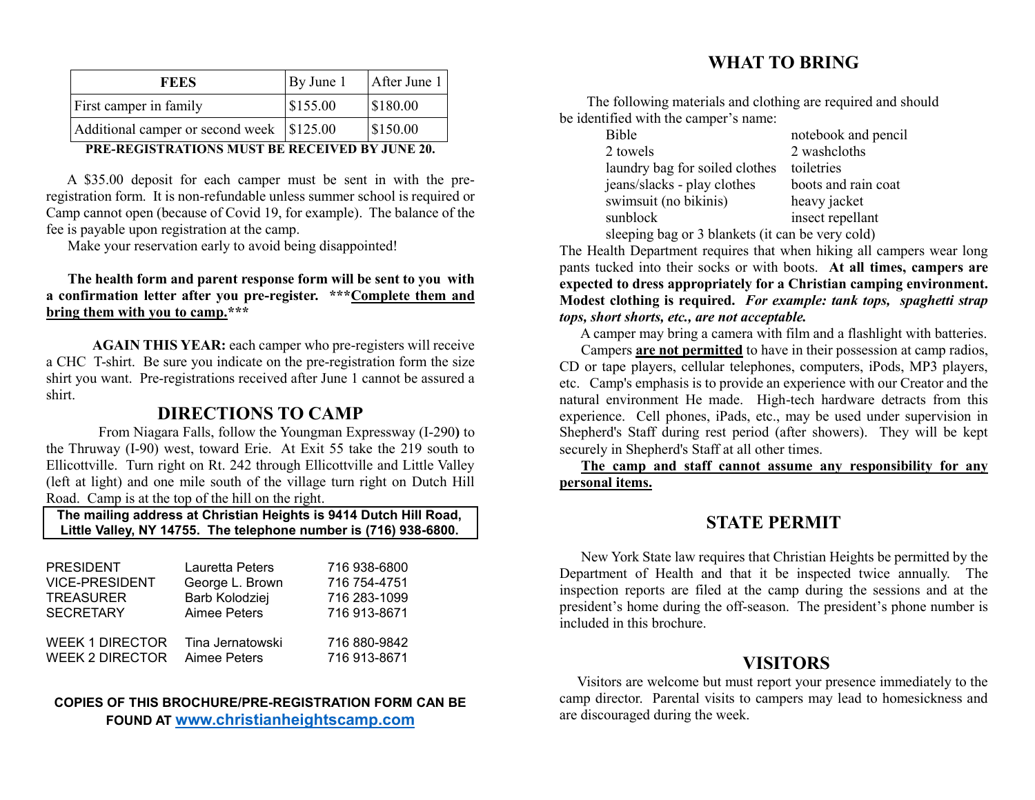| <b>FEES</b>                                 | By June 1 | After June 1 |
|---------------------------------------------|-----------|--------------|
| First camper in family                      | \$155.00  | \$180.00     |
| Additional camper or second week   \$125.00 |           | \$150.00     |
|                                             |           |              |

#### **PRE-REGISTRATIONS MUST BE RECEIVED BY JUNE 20.**

 A \$35.00 deposit for each camper must be sent in with the preregistration form. It is non-refundable unless summer school is required or Camp cannot open (because of Covid 19, for example). The balance of the fee is payable upon registration at the camp.

Make your reservation early to avoid being disappointed!

#### **The health form and parent response form will be sent to you with a confirmation letter after you pre-register. \*\*\*Complete them and bring them with you to camp.\*\*\***

**AGAIN THIS YEAR:** each camper who pre-registers will receive a CHC T-shirt. Be sure you indicate on the pre-registration form the size shirt you want. Pre-registrations received after June 1 cannot be assured a shirt.

**DIRECTIONS TO CAMP**<br>From Niagara Falls, follow the Youngman Expressway (I-290) to the Thruway (I-90) west, toward Erie. At Exit 55 take the 219 south to Ellicottville. Turn right on Rt. 242 through Ellicottville and Little Valley (left at light) and one mile south of the village turn right on Dutch Hill Road. Camp is at the top of the hill on the right.

 **The mailing address at Christian Heights is 9414 Dutch Hill Road, Little Valley, NY 14755. The telephone number is (716) 938-6800.**

| <b>PRESIDENT</b>       | Lauretta Peters  | 716 938-6800 |
|------------------------|------------------|--------------|
| <b>VICE-PRESIDENT</b>  | George L. Brown  | 716 754-4751 |
| <b>TREASURER</b>       | Barb Kolodziej   | 716 283-1099 |
| <b>SECRETARY</b>       | Aimee Peters     | 716 913-8671 |
| <b>WEEK 1 DIRECTOR</b> | Tina Jernatowski | 716 880-9842 |
| <b>WEEK 2 DIRECTOR</b> | Aimee Peters     | 716 913-8671 |

#### **COPIES OF THIS BROCHURE/PRE-REGISTRATION FORM CAN BE FOUND AT [www.christianheightscamp.com](http://www.christianheightscamp.com/)**

# **WHAT TO BRING**

 The following materials and clothing are required and should be identified with the camper's name:

| Bible                                            | notebook and pencil |  |
|--------------------------------------------------|---------------------|--|
| 2 towels                                         | 2 washcloths        |  |
| laundry bag for soiled clothes                   | toiletries          |  |
| jeans/slacks - play clothes                      | boots and rain coat |  |
| swimsuit (no bikinis)                            | heavy jacket        |  |
| sunblock                                         | insect repellant    |  |
| sleeping bag or 3 blankets (it can be very cold) |                     |  |

The Health Department requires that when hiking all campers wear long pants tucked into their socks or with boots. **At all times, campers are expected to dress appropriately for a Christian camping environment. Modest clothing is required.** *For example: tank tops, spaghetti strap tops, short shorts, etc., are not acceptable.*

A camper may bring a camera with film and a flashlight with batteries.

 Campers **are not permitted** to have in their possession at camp radios, CD or tape players, cellular telephones, computers, iPods, MP3 players, etc. Camp's emphasis is to provide an experience with our Creator and the natural environment He made. High-tech hardware detracts from this experience. Cell phones, iPads, etc., may be used under supervision in Shepherd's Staff during rest period (after showers). They will be kept securely in Shepherd's Staff at all other times.

 **The camp and staff cannot assume any responsibility for any personal items.**

# **STATE PERMIT**

 New York State law requires that Christian Heights be permitted by the Department of Health and that it be inspected twice annually. The inspection reports are filed at the camp during the sessions and at the president's home during the off-season. The president's phone number is included in this brochure.

#### **VISITORS**

 Visitors are welcome but must report your presence immediately to the camp director. Parental visits to campers may lead to homesickness and are discouraged during the week.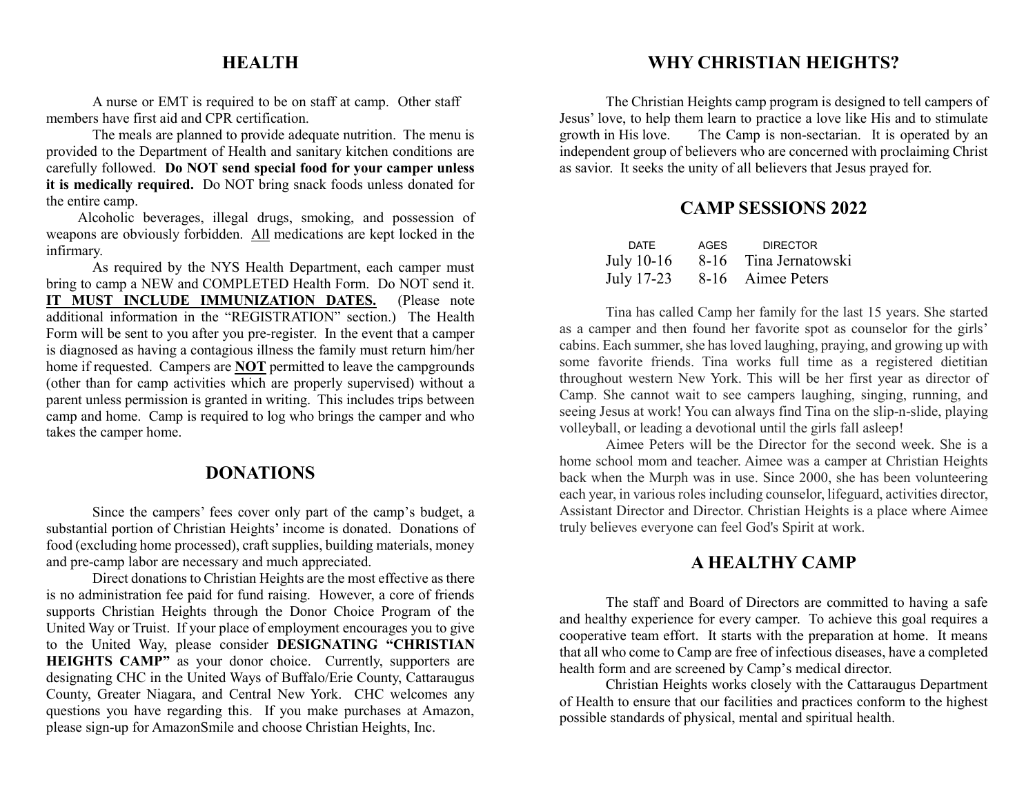## **HEALTH**

A nurse or EMT is required to be on staff at camp. Other staff members have first aid and CPR certification.

The meals are planned to provide adequate nutrition. The menu is provided to the Department of Health and sanitary kitchen conditions are carefully followed. **Do NOT send special food for your camper unless it is medically required.** Do NOT bring snack foods unless donated for the entire camp.

 Alcoholic beverages, illegal drugs, smoking, and possession of weapons are obviously forbidden. All medications are kept locked in the infirmary.

As required by the NYS Health Department, each camper must bring to camp a NEW and COMPLETED Health Form. Do NOT send it. **IT MUST INCLUDE IMMUNIZATION DATES.** (Please note additional information in the "REGISTRATION" section.) The Health Form will be sent to you after you pre-register. In the event that a camper is diagnosed as having a contagious illness the family must return him/her home if requested. Campers are **NOT** permitted to leave the campgrounds (other than for camp activities which are properly supervised) without a parent unless permission is granted in writing. This includes trips between camp and home. Camp is required to log who brings the camper and who takes the camper home.

# **DONATIONS**

Since the campers' fees cover only part of the camp's budget, a substantial portion of Christian Heights' income is donated. Donations of food (excluding home processed), craft supplies, building materials, money and pre-camp labor are necessary and much appreciated.

Direct donations to Christian Heights are the most effective as there is no administration fee paid for fund raising. However, a core of friends supports Christian Heights through the Donor Choice Program of the United Way or Truist. If your place of employment encourages you to give to the United Way, please consider **DESIGNATING "CHRISTIAN HEIGHTS CAMP**" as your donor choice. Currently, supporters are designating CHC in the United Ways of Buffalo/Erie County, Cattaraugus County, Greater Niagara, and Central New York. CHC welcomes any questions you have regarding this. If you make purchases at Amazon, please sign-up for AmazonSmile and choose Christian Heights, Inc.

# **WHY CHRISTIAN HEIGHTS?**

 The Christian Heights camp program is designed to tell campers of Jesus' love, to help them learn to practice a love like His and to stimulate growth in His love. The Camp is non-sectarian. It is operated by an independent group of believers who are concerned with proclaiming Christ as savior. It seeks the unity of all believers that Jesus prayed for.

# **CAMP SESSIONS 2022**

| DATF       | AGES | <b>DIRECTOR</b>              |
|------------|------|------------------------------|
| July 10-16 |      | 8-16 Tina Jernatowski        |
|            |      | July 17-23 8-16 Aimee Peters |

Tina has called Camp her family for the last 15 years. She started as a camper and then found her favorite spot as counselor for the girls' cabins. Each summer, she has loved laughing, praying, and growing up with some favorite friends. Tina works full time as a registered dietitian throughout western New York. This will be her first year as director of Camp. She cannot wait to see campers laughing, singing, running, and seeing Jesus at work! You can always find Tina on the slip-n-slide, playing volleyball, or leading a devotional until the girls fall asleep!

Aimee Peters will be the Director for the second week. She is a home school mom and teacher. Aimee was a camper at Christian Heights back when the Murph was in use. Since 2000, she has been volunteering each year, in various roles including counselor, lifeguard, activities director, Assistant Director and Director. Christian Heights is a place where Aimee truly believes everyone can feel God's Spirit at work.

## **A HEALTHY CAMP**

The staff and Board of Directors are committed to having a safe and healthy experience for every camper. To achieve this goal requires a cooperative team effort. It starts with the preparation at home. It means that all who come to Camp are free of infectious diseases, have a completed health form and are screened by Camp's medical director.

Christian Heights works closely with the Cattaraugus Department of Health to ensure that our facilities and practices conform to the highest possible standards of physical, mental and spiritual health.